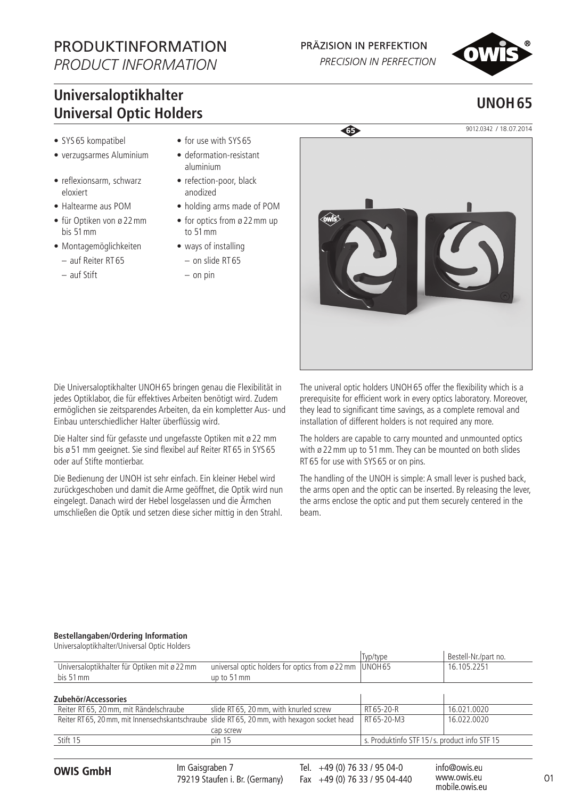# PRODUKTINFORMATION

*PRODUCT INFORMATION*

### PRÄZISION IN PERFEKTION

PRECISION IN PERFECTION



## **Universaloptikhalter Universal Optic Holders**

- SYS 65 kompatibel
- verzugsarmes Aluminium
- reflexionsarm, schwarz eloxiert
- Haltearme aus POM
- für Optiken von ø 22mm bis 51mm
- Montagemöglichkeiten
	- auf Reiter RT 65
	- auf Stift
- for use with SYS 65
- deformation-resistant aluminium
- refection-poor, black anodized
- holding arms made of POM
- for optics from ø 22mm up to 51mm
- ways of installing
	- on slide RT 65 – on pin



Die Universaloptikhalter UNOH65 bringen genau die Flexibilität in jedes Optiklabor, die für effektives Arbeiten benötigt wird. Zudem ermöglichen sie zeitsparendes Arbeiten, da ein kompletter Aus- und Einbau unterschiedlicher Halter überflüssig wird.

Die Halter sind für gefasste und ungefasste Optiken mit ø 22 mm bis ø 51 mm geeignet. Sie sind flexibel auf Reiter RT 65 in SYS 65 oder auf Stifte montierbar.

Die Bedienung der UNOH ist sehr einfach. Ein kleiner Hebel wird zurückgeschoben und damit die Arme geöffnet, die Optik wird nun eingelegt. Danach wird der Hebel losgelassen und die Ärmchen umschließen die Optik und setzen diese sicher mittig in den Strahl. The univeral optic holders UNOH65 offer the flexibility which is a prerequisite for efficient work in every optics laboratory. Moreover, they lead to significant time savings, as a complete removal and installation of different holders is not required any more.

The holders are capable to carry mounted and unmounted optics with ø 22 mm up to 51 mm. They can be mounted on both slides RT 65 for use with SYS 65 or on pins.

The handling of the UNOH is simple: A small lever is pushed back, the arms open and the optic can be inserted. By releasing the lever, the arms enclose the optic and put them securely centered in the beam.

#### **Bestellangaben/Ordering Information** Universaloptikhalter/Universal Optic Holders

| <u>UTITLE SCIUPLINTIQUE INTERNATIONAL TIUMETS</u>                                            |                                                        |                                              |                      |
|----------------------------------------------------------------------------------------------|--------------------------------------------------------|----------------------------------------------|----------------------|
|                                                                                              |                                                        | Typ/type                                     | Bestell-Nr./part no. |
| Universaloptikhalter für Optiken mit ø 22 mm                                                 | universal optic holders for optics from $\omega$ 22 mm | UNOH <sub>65</sub>                           | 16.105.2251          |
| bis 51 mm                                                                                    | up to 51 mm                                            |                                              |                      |
|                                                                                              |                                                        |                                              |                      |
| Zubehör/Accessories                                                                          |                                                        |                                              |                      |
| Reiter RT 65, 20 mm, mit Rändelschraube                                                      | slide RT 65, 20 mm, with knurled screw                 | RT 65-20-R                                   | 16.021.0020          |
| Reiter RT 65, 20 mm, mit Innensechskantschraube slide RT 65, 20 mm, with hexagon socket head |                                                        | RT 65-20-M3                                  | 16.022.0020          |
|                                                                                              | cap screw                                              |                                              |                      |
| Stift 15                                                                                     | pin <sub>15</sub>                                      | s. Produktinfo STF 15/s. product info STF 15 |                      |
|                                                                                              |                                                        |                                              |                      |

O1 **OWIS GmbH** info@owis.eu Fax +49 (0) 76 33 / 95 04-440 Im Gaisgraben 7 79219 Staufen i. Br. (Germany)

Tel. +49 (0) 76 33 / 95 04-0

www.owis.eu mobile.owis.eu

## **UNOH65**